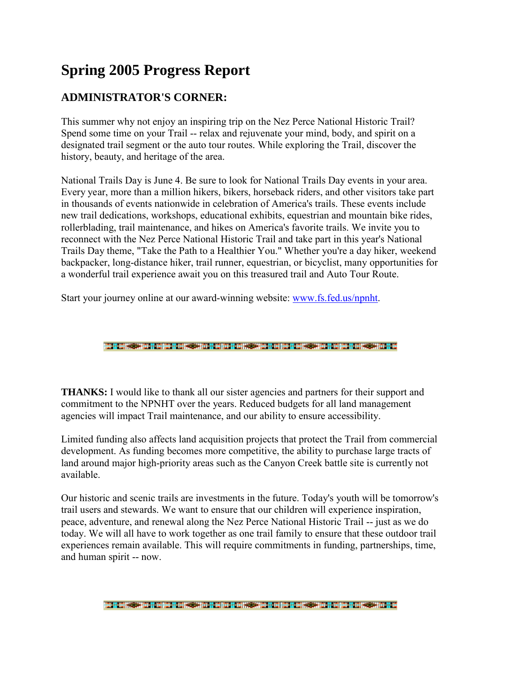# **Spring 2005 Progress Report**

#### **ADMINISTRATOR'S CORNER:**

This summer why not enjoy an inspiring trip on the Nez Perce National Historic Trail? Spend some time on your Trail -- relax and rejuvenate your mind, body, and spirit on a designated trail segment or the auto tour routes. While exploring the Trail, discover the history, beauty, and heritage of the area.

National Trails Day is June 4. Be sure to look for National Trails Day events in your area. Every year, more than a million hikers, bikers, horseback riders, and other visitors take part in thousands of events nationwide in celebration of America's trails. These events include new trail dedications, workshops, educational exhibits, equestrian and mountain bike rides, rollerblading, trail maintenance, and hikes on America's favorite trails. We invite you to reconnect with the Nez Perce National Historic Trail and take part in this year's National Trails Day theme, "Take the Path to a Healthier You." Whether you're a day hiker, weekend backpacker, long-distance hiker, trail runner, equestrian, or bicyclist, many opportunities for a wonderful trail experience await you on this treasured trail and Auto Tour Route.

Start your journey online at our award-winning website: www.fs.fed.us/npnht[.](http://www.fs.fed.us/npnht) 

||整个部长学校学校||学校研究科学学校||学校研究科学校学校学校研究教学学校研究科学学校学校学

**THANKS:** I would like to thank all our sister agencies and partners for their support and commitment to the NPNHT over the years. Reduced budgets for all land management agencies will impact Trail maintenance, and our ability to ensure accessibility.

Limited funding also affects land acquisition projects that protect the Trail from commercial development. As funding becomes more competitive, the ability to purchase large tracts of land around major high-priority areas such as the Canyon Creek battle site is currently not available.

Our historic and scenic trails are investments in the future. Today's youth will be tomorrow's trail users and stewards. We want to ensure that our children will experience inspiration, peace, adventure, and renewal along the Nez Perce National Historic Trail -- just as we do today. We will all have to work together as one trail family to ensure that these outdoor trail experiences remain available. This will require commitments in funding, partnerships, time, and human spirit -- now.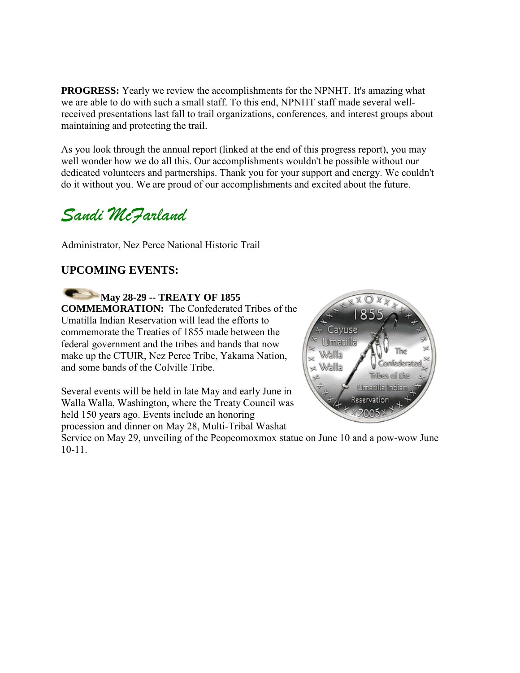**PROGRESS:** Yearly we review the accomplishments for the NPNHT. It's amazing what we are able to do with such a small staff. To this end, NPNHT staff made several wellreceived presentations last fall to trail organizations, conferences, and interest groups about maintaining and protecting the trail.

As you look through the annual report (linked at the end of this progress report), you may well wonder how we do all this. Our accomplishments wouldn't be possible without our dedicated volunteers and partnerships. Thank you for your support and energy. We couldn't do it without you. We are proud of our accomplishments and excited about the future.

# *Sandi McFarland*

Administrator, Nez Perce National Historic Trail

#### **UPCOMING EVENTS:**

**May 28-29 -- TREATY OF 1855 COMMEMORATION:** The Confederated Tribes of the Umatilla Indian Reservation will lead the efforts to commemorate the Treaties of 1855 made between the federal government and the tribes and bands that now make up the CTUIR, Nez Perce Tribe, Yakama Nation, and some bands of the Colville Tribe.

Several events will be held in late May and early June in Walla Walla, Washington, where the Treaty Council was held 150 years ago. Events include an honoring procession and dinner on May 28, Multi-Tribal Washat



Service on May 29, unveiling of the Peopeomoxmox statue on June 10 and a pow-wow June 10-11.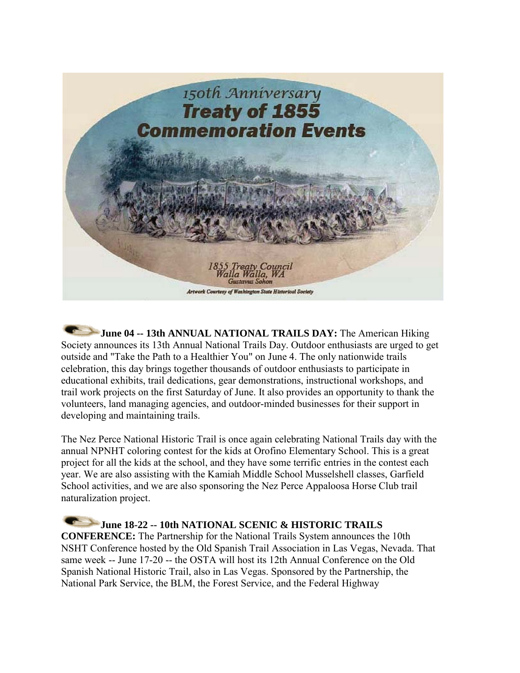

**June 04 -- 13th ANNUAL NATIONAL TRAILS DAY:** The American Hiking Society announces its 13th Annual National Trails Day. Outdoor enthusiasts are urged to get outside and "Take the Path to a Healthier You" on June 4. The only nationwide trails celebration, this day brings together thousands of outdoor enthusiasts to participate in educational exhibits, trail dedications, gear demonstrations, instructional workshops, and trail work projects on the first Saturday of June. It also provides an opportunity to thank the volunteers, land managing agencies, and outdoor-minded businesses for their support in developing and maintaining trails.

The Nez Perce National Historic Trail is once again celebrating National Trails day with the annual NPNHT coloring contest for the kids at Orofino Elementary School. This is a great project for all the kids at the school, and they have some terrific entries in the contest each year. We are also assisting with the Kamiah Middle School Musselshell classes, Garfield School activities, and we are also sponsoring the Nez Perce Appaloosa Horse Club trail naturalization project.

**June 18-22 -- 10th NATIONAL SCENIC & HISTORIC TRAILS CONFERENCE:** The Partnership for the National Trails System announces the 10th NSHT Conference hosted by the Old Spanish Trail Association in Las Vegas, Nevada. That same week -- June 17-20 -- the OSTA will host its 12th Annual Conference on the Old Spanish National Historic Trail, also in Las Vegas. Sponsored by the Partnership, the National Park Service, the BLM, the Forest Service, and the Federal Highway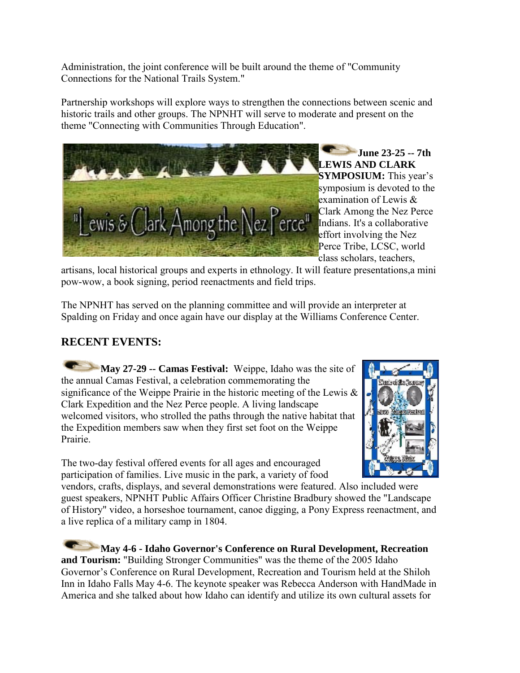Administration, the joint conference will be built around the theme of "Community Connections for the National Trails System."

Partnership workshops will explore ways to strengthen the connections between scenic and historic trails and other groups. The NPNHT will serve to moderate and present on the theme "Connecting with Communities Through Education".



**June 23-25 -- 7th LEWIS AND CLARK SYMPOSIUM:** This year's symposium is devoted to the examination of Lewis & Clark Among the Nez Perce Indians. It's a collaborative effort involving the Nez Perce Tribe, LCSC, world class scholars, teachers,

artisans, local historical groups and experts in ethnology. It will feature presentations,a mini pow-wow, a book signing, period reenactments and field trips.

The NPNHT has served on the planning committee and will provide an interpreter at Spalding on Friday and once again have our display at the Williams Conference Center.

#### **RECENT EVENTS:**

**May 27-29 -- Camas Festival:** Weippe, Idaho was the site of the annual Camas Festival, a celebration commemorating the significance of the Weippe Prairie in the historic meeting of the Lewis  $\&$ Clark Expedition and the Nez Perce people. A living landscape welcomed visitors, who strolled the paths through the native habitat that the Expedition members saw when they first set foot on the Weippe Prairie.

The two-day festival offered events for all ages and encouraged participation of families. Live music in the park, a variety of food



vendors, crafts, displays, and several demonstrations were featured. Also included were guest speakers, NPNHT Public Affairs Officer Christine Bradbury showed the "Landscape of History" video, a horseshoe tournament, canoe digging, a Pony Express reenactment, and a live replica of a military camp in 1804.

**May 4-6 - Idaho Governor's Conference on Rural Development, Recreation and Tourism:** "Building Stronger Communities" was the theme of the 2005 Idaho Governor's Conference on Rural Development, Recreation and Tourism held at the Shiloh Inn in Idaho Falls May 4-6. The keynote speaker was Rebecca Anderson with HandMade in America and she talked about how Idaho can identify and utilize its own cultural assets for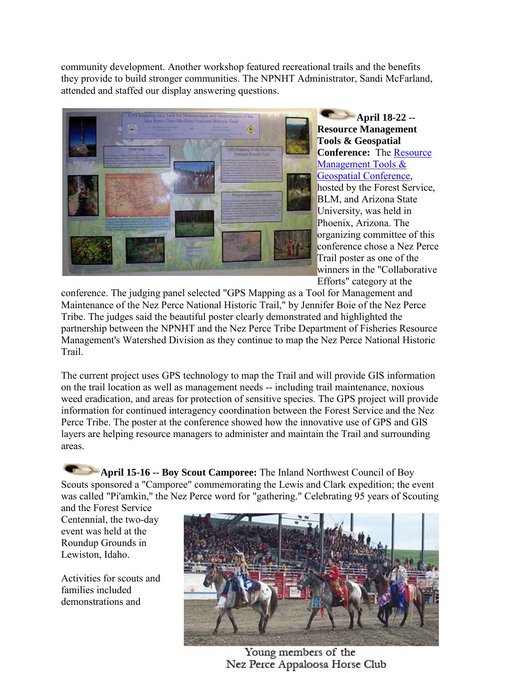community development. Another workshop featured recreational trails and the benefits they provide to build stronger communities. The NPNHT Administrator, Sandi McFarland, attended and staffed our display answering questions.



**April 18-22 -- Resource Management Tools & Geospatial Conference:** The [Resource](http://www.igist.com/)  [Management Tools &](http://www.igist.com/)  [Geospatial Conference,](http://www.igist.com/) hosted by the Forest Service, BLM, and Arizona State University, was held in Phoenix, Arizona. The organizing committee of this conference chose a Nez Perce Trail poster as one of the winners in the "Collaborative Efforts" category at the

conference. The judging panel selected "GPS Mapping as a Tool for Management and Maintenance of the Nez Perce National Historic Trail," by Jennifer Boie of the Nez Perce Tribe. The judges said the beautiful poster clearly demonstrated and highlighted the partnership between the NPNHT and the Nez Perce Tribe Department of Fisheries Resource Management's Watershed Division as they continue to map the Nez Perce National Historic Trail.

The current project uses GPS technology to map the Trail and will provide GIS information on the trail location as well as management needs -- including trail maintenance, noxious weed eradication, and areas for protection of sensitive species. The GPS project will provide information for continued interagency coordination between the Forest Service and the Nez Perce Tribe. The poster at the conference showed how the innovative use of GPS and GIS layers are helping resource managers to administer and maintain the Trail and surrounding areas.

**April 15-16 -- Boy Scout Camporee:** The Inland Northwest Council of Boy Scouts sponsored a "Camporee" commemorating the Lewis and Clark expedition; the event was called "Pi'amkin," the Nez Perce word for "gathering." Celebrating 95 years of Scouting

and the Forest Service Centennial, the two-day event was held at the Roundup Grounds in Lewiston, Idaho.

Activities for scouts and families included demonstrations and



Young members of the Nez Perce Appaloosa Horse Club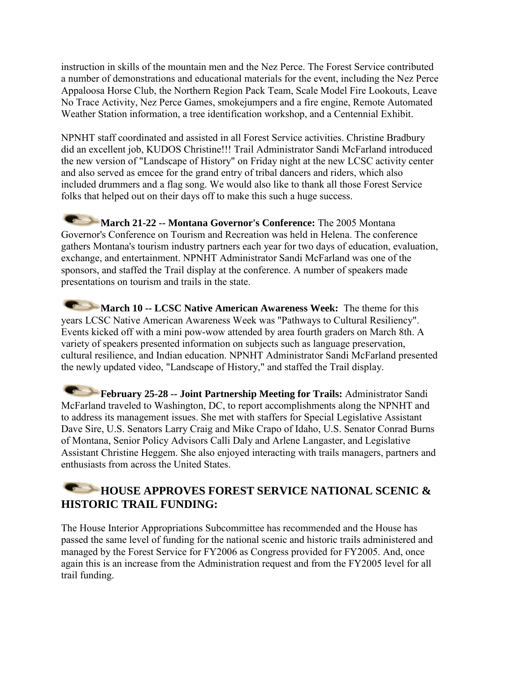instruction in skills of the mountain men and the Nez Perce. The Forest Service contributed a number of demonstrations and educational materials for the event, including the Nez Perce Appaloosa Horse Club, the Northern Region Pack Team, Scale Model Fire Lookouts, Leave No Trace Activity, Nez Perce Games, smokejumpers and a fire engine, Remote Automated Weather Station information, a tree identification workshop, and a Centennial Exhibit.

NPNHT staff coordinated and assisted in all Forest Service activities. Christine Bradbury did an excellent job, KUDOS Christine!!! Trail Administrator Sandi McFarland introduced the new version of "Landscape of History" on Friday night at the new LCSC activity center and also served as emcee for the grand entry of tribal dancers and riders, which also included drummers and a flag song. We would also like to thank all those Forest Service folks that helped out on their days off to make this such a huge success.

**March 21-22 -- Montana Governor's Conference:** The 2005 Montana Governor's Conference on Tourism and Recreation was held in Helena. The conference gathers Montana's tourism industry partners each year for two days of education, evaluation, exchange, and entertainment. NPNHT Administrator Sandi McFarland was one of the sponsors, and staffed the Trail display at the conference. A number of speakers made presentations on tourism and trails in the state.

**March 10 -- LCSC Native American Awareness Week:** The theme for this years LCSC Native American Awareness Week was "Pathways to Cultural Resiliency". Events kicked off with a mini pow-wow attended by area fourth graders on March 8th. A variety of speakers presented information on subjects such as language preservation, cultural resilience, and Indian education. NPNHT Administrator Sandi McFarland presented the newly updated video, "Landscape of History," and staffed the Trail display.

February 25-28 -- Joint Partnership Meeting for Trails: Administrator Sandi McFarland traveled to Washington, DC, to report accomplishments along the NPNHT and to address its management issues. She met with staffers for Special Legislative Assistant Dave Sire, U.S. Senators Larry Craig and Mike Crapo of Idaho, U.S. Senator Conrad Burns of Montana, Senior Policy Advisors Calli Daly and Arlene Langaster, and Legislative Assistant Christine Heggem. She also enjoyed interacting with trails managers, partners and enthusiasts from across the United States.

#### **HOUSE APPROVES FOREST SERVICE NATIONAL SCENIC & HISTORIC TRAIL FUNDING:**

The House Interior Appropriations Subcommittee has recommended and the House has passed the same level of funding for the national scenic and historic trails administered and managed by the Forest Service for FY2006 as Congress provided for FY2005. And, once again this is an increase from the Administration request and from the FY2005 level for all trail funding.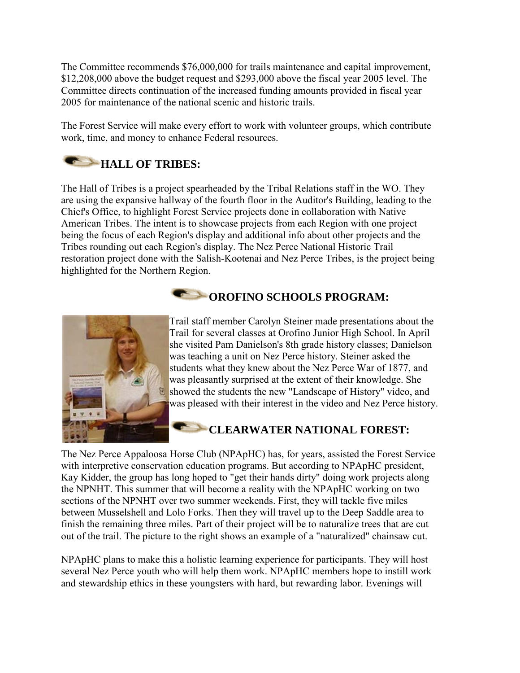The Committee recommends \$76,000,000 for trails maintenance and capital improvement, \$12,208,000 above the budget request and \$293,000 above the fiscal year 2005 level. The Committee directs continuation of the increased funding amounts provided in fiscal year 2005 for maintenance of the national scenic and historic trails.

The Forest Service will make every effort to work with volunteer groups, which contribute work, time, and money to enhance Federal resources.

# **HALL OF TRIBES:**

The Hall of Tribes is a project spearheaded by the Tribal Relations staff in the WO. They are using the expansive hallway of the fourth floor in the Auditor's Building, leading to the Chief's Office, to highlight Forest Service projects done in collaboration with Native American Tribes. The intent is to showcase projects from each Region with one project being the focus of each Region's display and additional info about other projects and the Tribes rounding out each Region's display. The Nez Perce National Historic Trail restoration project done with the Salish-Kootenai and Nez Perce Tribes, is the project being highlighted for the Northern Region.

### **COROFINO SCHOOLS PROGRAM:**



Trail staff member Carolyn Steiner made presentations about the Trail for several classes at Orofino Junior High School. In April she visited Pam Danielson's 8th grade history classes; Danielson was teaching a unit on Nez Perce history. Steiner asked the students what they knew about the Nez Perce War of 1877, and was pleasantly surprised at the extent of their knowledge. She showed the students the new "Landscape of History" video, and was pleased with their interest in the video and Nez Perce history.

#### **CLEARWATER NATIONAL FOREST:**

The Nez Perce Appaloosa Horse Club (NPApHC) has, for years, assisted the Forest Service with interpretive conservation education programs. But according to NPApHC president, Kay Kidder, the group has long hoped to "get their hands dirty" doing work projects along the NPNHT. This summer that will become a reality with the NPApHC working on two sections of the NPNHT over two summer weekends. First, they will tackle five miles between Musselshell and Lolo Forks. Then they will travel up to the Deep Saddle area to finish the remaining three miles. Part of their project will be to naturalize trees that are cut out of the trail. The picture to the right shows an example of a "naturalized" chainsaw cut.

NPApHC plans to make this a holistic learning experience for participants. They will host several Nez Perce youth who will help them work. NPApHC members hope to instill work and stewardship ethics in these youngsters with hard, but rewarding labor. Evenings will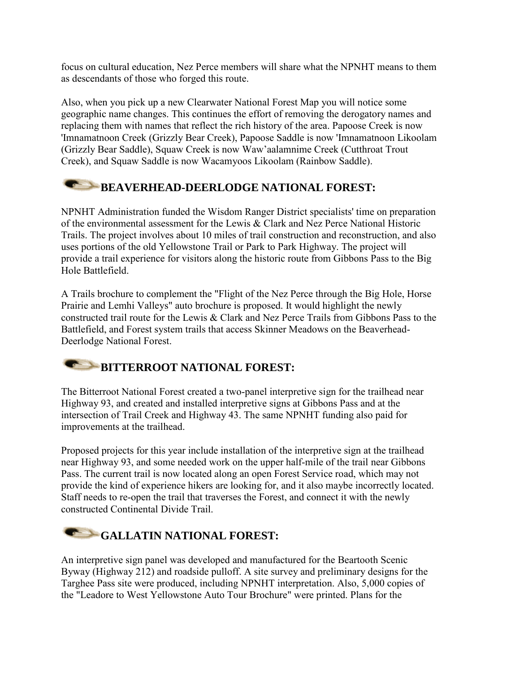focus on cultural education, Nez Perce members will share what the NPNHT means to them as descendants of those who forged this route.

Also, when you pick up a new Clearwater National Forest Map you will notice some geographic name changes. This continues the effort of removing the derogatory names and replacing them with names that reflect the rich history of the area. Papoose Creek is now 'Imnamatnoon Creek (Grizzly Bear Creek), Papoose Saddle is now 'Imnamatnoon Likoolam (Grizzly Bear Saddle), Squaw Creek is now Waw'aalamnime Creek (Cutthroat Trout Creek), and Squaw Saddle is now Wacamyoos Likoolam (Rainbow Saddle).

#### **BEAVERHEAD-DEERLODGE NATIONAL FOREST:**

NPNHT Administration funded the Wisdom Ranger District specialists' time on preparation of the environmental assessment for the Lewis & Clark and Nez Perce National Historic Trails. The project involves about 10 miles of trail construction and reconstruction, and also uses portions of the old Yellowstone Trail or Park to Park Highway. The project will provide a trail experience for visitors along the historic route from Gibbons Pass to the Big Hole Battlefield.

A Trails brochure to complement the "Flight of the Nez Perce through the Big Hole, Horse Prairie and Lemhi Valleys" auto brochure is proposed. It would highlight the newly constructed trail route for the Lewis & Clark and Nez Perce Trails from Gibbons Pass to the Battlefield, and Forest system trails that access Skinner Meadows on the Beaverhead-Deerlodge National Forest.

### **BITTERROOT NATIONAL FOREST:**

The Bitterroot National Forest created a two-panel interpretive sign for the trailhead near Highway 93, and created and installed interpretive signs at Gibbons Pass and at the intersection of Trail Creek and Highway 43. The same NPNHT funding also paid for improvements at the trailhead.

Proposed projects for this year include installation of the interpretive sign at the trailhead near Highway 93, and some needed work on the upper half-mile of the trail near Gibbons Pass. The current trail is now located along an open Forest Service road, which may not provide the kind of experience hikers are looking for, and it also maybe incorrectly located. Staff needs to re-open the trail that traverses the Forest, and connect it with the newly constructed Continental Divide Trail.

# GALLATIN NATIONAL FOREST:

An interpretive sign panel was developed and manufactured for the Beartooth Scenic Byway (Highway 212) and roadside pulloff. A site survey and preliminary designs for the Targhee Pass site were produced, including NPNHT interpretation. Also, 5,000 copies of the "Leadore to West Yellowstone Auto Tour Brochure" were printed. Plans for the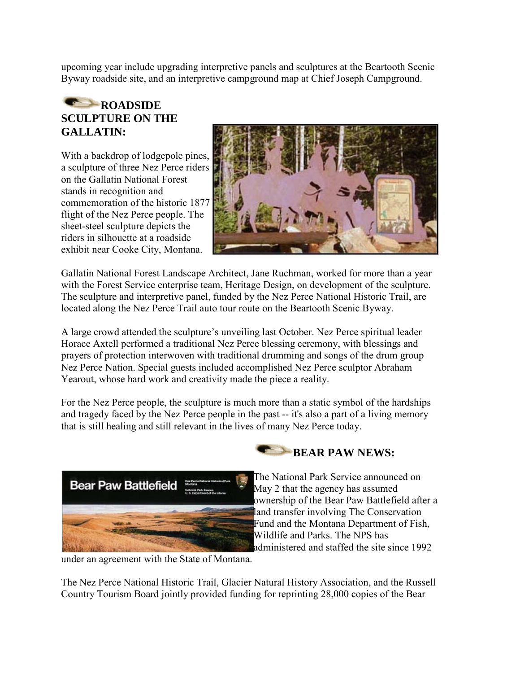upcoming year include upgrading interpretive panels and sculptures at the Beartooth Scenic Byway roadside site, and an interpretive campground map at Chief Joseph Campground.

#### **ROADSIDE SCULPTURE ON THE GALLATIN:**

With a backdrop of lodgepole pines, a sculpture of three Nez Perce riders on the Gallatin National Forest stands in recognition and commemoration of the historic 1877 flight of the Nez Perce people. The sheet-steel sculpture depicts the riders in silhouette at a roadside exhibit near Cooke City, Montana.



Gallatin National Forest Landscape Architect, Jane Ruchman, worked for more than a year with the Forest Service enterprise team, Heritage Design, on development of the sculpture. The sculpture and interpretive panel, funded by the Nez Perce National Historic Trail, are located along the Nez Perce Trail auto tour route on the Beartooth Scenic Byway.

A large crowd attended the sculpture's unveiling last October. Nez Perce spiritual leader Horace Axtell performed a traditional Nez Perce blessing ceremony, with blessings and prayers of protection interwoven with traditional drumming and songs of the drum group Nez Perce Nation. Special guests included accomplished Nez Perce sculptor Abraham Yearout, whose hard work and creativity made the piece a reality.

For the Nez Perce people, the sculpture is much more than a static symbol of the hardships and tragedy faced by the Nez Perce people in the past -- it's also a part of a living memory that is still healing and still relevant in the lives of many Nez Perce today.



**BEAR PAW NEWS:** 

The National Park Service announced on May 2 that the agency has assumed ownership of the Bear Paw Battlefield after a land transfer involving The Conservation Fund and the Montana Department of Fish, Wildlife and Parks. The NPS has administered and staffed the site since 1992

under an agreement with the State of Montana.

The Nez Perce National Historic Trail, Glacier Natural History Association, and the Russell Country Tourism Board jointly provided funding for reprinting 28,000 copies of the Bear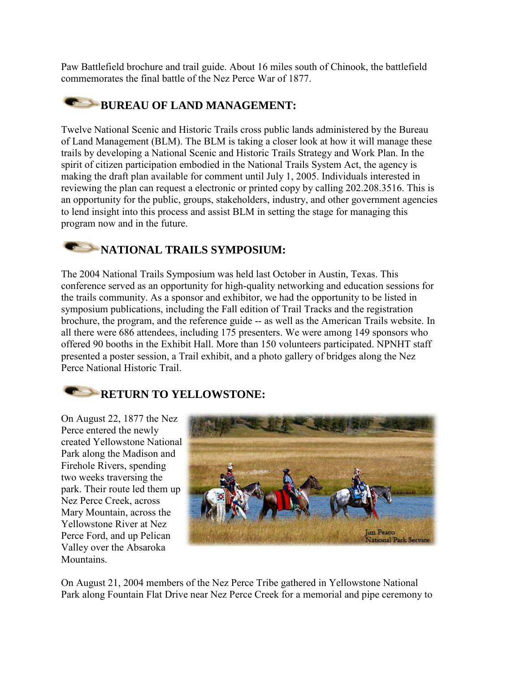Paw Battlefield brochure and trail guide. About 16 miles south of Chinook, the battlefield commemorates the final battle of the Nez Perce War of 1877.

#### **BUREAU OF LAND MANAGEMENT:**

Twelve National Scenic and Historic Trails cross public lands administered by the Bureau of Land Management (BLM). The BLM is taking a closer look at how it will manage these trails by developing a National Scenic and Historic Trails Strategy and Work Plan. In the spirit of citizen participation embodied in the National Trails System Act, the agency is making the draft plan available for comment until July 1, 2005. Individuals interested in reviewing the plan can request a electronic or printed copy by calling 202.208.3516. This is an opportunity for the public, groups, stakeholders, industry, and other government agencies to lend insight into this process and assist BLM in setting the stage for managing this program now and in the future.

### **NATIONAL TRAILS SYMPOSIUM:**

The 2004 National Trails Symposium was held last October in Austin, Texas. This conference served as an opportunity for high-quality networking and education sessions for the trails community. As a sponsor and exhibitor, we had the opportunity to be listed in symposium publications, including the Fall edition of Trail Tracks and the registration brochure, the program, and the reference guide -- as well as the American Trails website. In all there were 686 attendees, including 175 presenters. We were among 149 sponsors who offered 90 booths in the Exhibit Hall. More than 150 volunteers participated. NPNHT staff presented a poster session, a Trail exhibit, and a photo gallery of bridges along the Nez Perce National Historic Trail.

### **RETURN TO YELLOWSTONE:**

On August 22, 1877 the Nez Perce entered the newly created Yellowstone National Park along the Madison and Firehole Rivers, spending two weeks traversing the park. Their route led them up Nez Perce Creek, across Mary Mountain, across the Yellowstone River at Nez Perce Ford, and up Pelican Valley over the Absaroka **Mountains** 



On August 21, 2004 members of the Nez Perce Tribe gathered in Yellowstone National Park along Fountain Flat Drive near Nez Perce Creek for a memorial and pipe ceremony to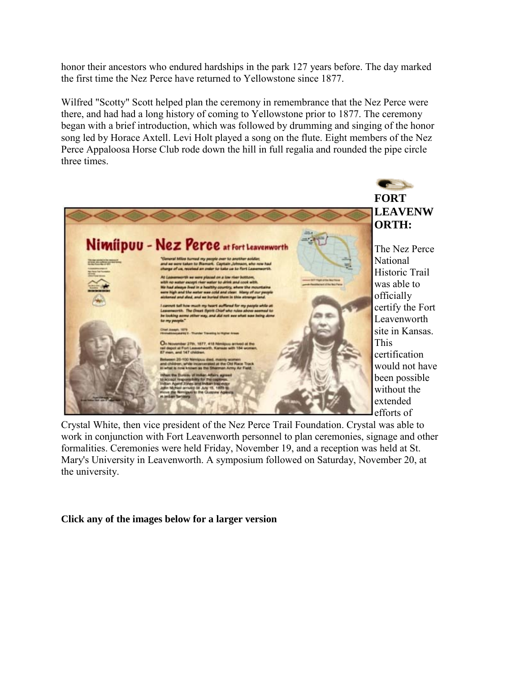honor their ancestors who endured hardships in the park 127 years before. The day marked the first time the Nez Perce have returned to Yellowstone since 1877.

Wilfred "Scotty" Scott helped plan the ceremony in remembrance that the Nez Perce were there, and had had a long history of coming to Yellowstone prior to 1877. The ceremony began with a brief introduction, which was followed by drumming and singing of the honor song led by Horace Axtell. Levi Holt played a song on the flute. Eight members of the Nez Perce Appaloosa Horse Club rode down the hill in full regalia and rounded the pipe circle three times.



Crystal White, then vice president of the Nez Perce Trail Foundation. Crystal was able to work in conjunction with Fort Leavenworth personnel to plan ceremonies, signage and other formalities. Ceremonies were held Friday, November 19, and a reception was held at St. Mary's University in Leavenworth. A symposium followed on Saturday, November 20, at the university.

#### **Click any of the images below for a larger version**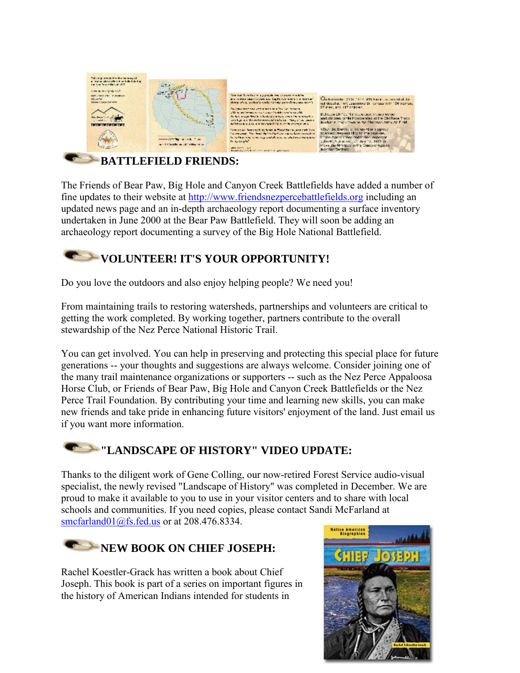

#### **BATTLEFIELD FRIENDS:**

The Friends of Bear Paw, Big Hole and Canyon Creek Battlefields have added a number of fine updates to their website at [http://www.friendsnezpercebattlefields.org](http://www.friendsnezpercebattlefields.org/) including an updated news page and an in-depth archaeology report documenting a surface inventory undertaken in June 2000 at the Bear Paw Battlefield. They will soon be adding an archaeology report documenting a survey of the Big Hole National Battlefield.

### **VOLUNTEER! IT'S YOUR OPPORTUNITY!**

Do you love the outdoors and also enjoy helping people? We need you!

From maintaining trails to restoring watersheds, partnerships and volunteers are critical to getting the work completed. By working together, partners contribute to the overall stewardship of the Nez Perce National Historic Trail.

You can get involved. You can help in preserving and protecting this special place for future generations -- your thoughts and suggestions are always welcome. Consider joining one of the many trail maintenance organizations or supporters -- such as the Nez Perce Appaloosa Horse Club, or Friends of Bear Paw, Big Hole and Canyon Creek Battlefields or the Nez Perce Trail Foundation. By contributing your time and learning new skills, you can make new friends and take pride in enhancing future visitors' enjoyment of the land. Just email us if you want more information.

### **"LANDSCAPE OF HISTORY" VIDEO UPDATE:**

Thanks to the diligent work of Gene Colling, our now-retired Forest Service audio-visual specialist, the newly revised "Landscape of History" was completed in December. We are proud to make it available to you to use in your visitor centers and to share with local schools and communities. If you need copies, please contact Sandi McFarland at [smcfarland01@fs.fed.us](mailto:smcfarland01@fs.fed.us) or at 208.476.8334.



Rachel Koestler-Grack has written a book about Chief Joseph. This book is part of a series on important figures in the history of American Indians intended for students in